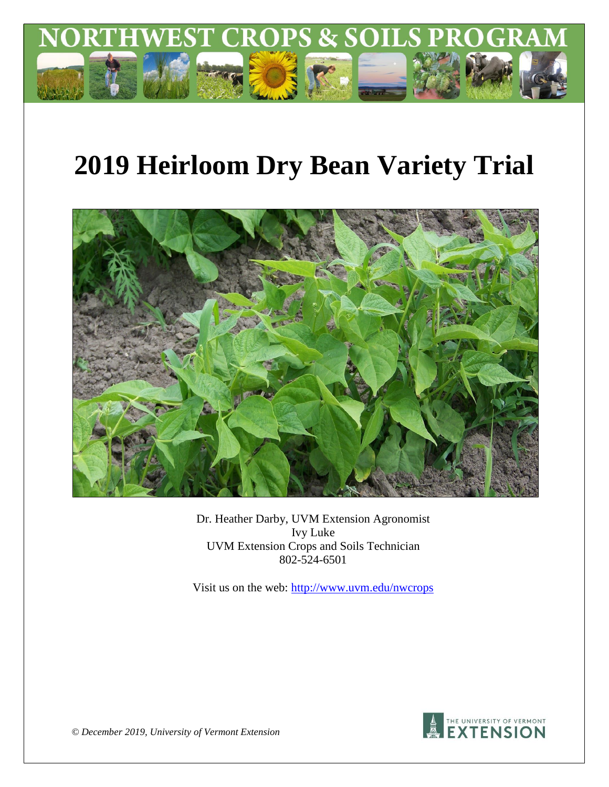

# **2019 Heirloom Dry Bean Variety Trial**



Dr. Heather Darby, UVM Extension Agronomist Ivy Luke UVM Extension Crops and Soils Technician 802-524-6501

Visit us on the web:<http://www.uvm.edu/nwcrops>



*© December 2019, University of Vermont Extension*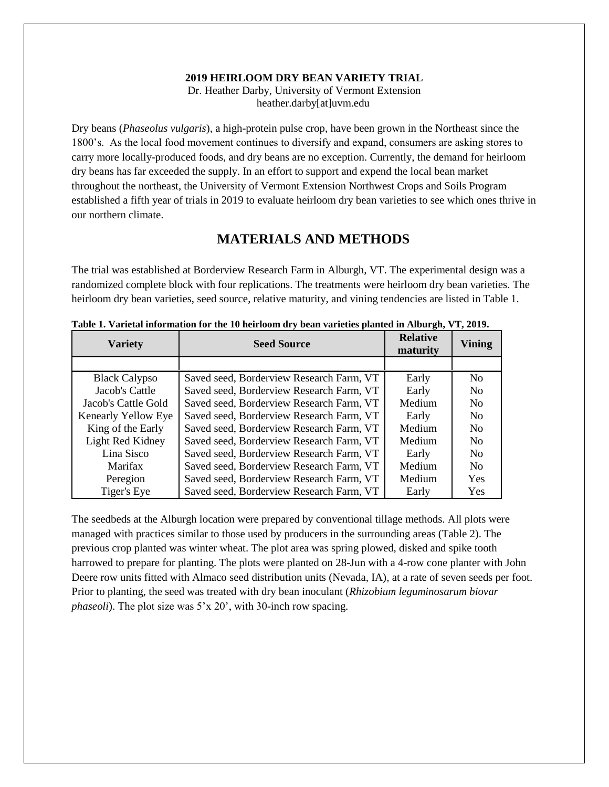#### **2019 HEIRLOOM DRY BEAN VARIETY TRIAL**

Dr. Heather Darby, University of Vermont Extension heather.darby[at]uvm.edu

Dry beans (*Phaseolus vulgaris*), a high-protein pulse crop, have been grown in the Northeast since the 1800's. As the local food movement continues to diversify and expand, consumers are asking stores to carry more locally-produced foods, and dry beans are no exception. Currently, the demand for heirloom dry beans has far exceeded the supply. In an effort to support and expend the local bean market throughout the northeast, the University of Vermont Extension Northwest Crops and Soils Program established a fifth year of trials in 2019 to evaluate heirloom dry bean varieties to see which ones thrive in our northern climate.

## **MATERIALS AND METHODS**

The trial was established at Borderview Research Farm in Alburgh, VT. The experimental design was a randomized complete block with four replications. The treatments were heirloom dry bean varieties. The heirloom dry bean varieties, seed source, relative maturity, and vining tendencies are listed in Table 1.

| <b>Variety</b>       | <b>Seed Source</b>                       | <b>Relative</b><br>maturity | <b>Vining</b>  |
|----------------------|------------------------------------------|-----------------------------|----------------|
|                      |                                          |                             |                |
| <b>Black Calypso</b> | Saved seed, Borderview Research Farm, VT | Early                       | N <sub>0</sub> |
| Jacob's Cattle       | Saved seed, Borderview Research Farm, VT | Early                       | N <sub>0</sub> |
| Jacob's Cattle Gold  | Saved seed, Borderview Research Farm, VT | Medium                      | N <sub>0</sub> |
| Kenearly Yellow Eye  | Saved seed, Borderview Research Farm, VT | Early                       | N <sub>0</sub> |
| King of the Early    | Saved seed, Borderview Research Farm, VT | Medium                      | N <sub>0</sub> |
| Light Red Kidney     | Saved seed, Borderview Research Farm, VT | Medium                      | N <sub>0</sub> |
| Lina Sisco           | Saved seed, Borderview Research Farm, VT | Early                       | N <sub>0</sub> |
| Marifax              | Saved seed, Borderview Research Farm, VT | Medium                      | N <sub>0</sub> |
| Peregion             | Saved seed, Borderview Research Farm, VT | Medium                      | Yes            |
| Tiger's Eye          | Saved seed, Borderview Research Farm, VT | Early                       | Yes            |

**Table 1. Varietal information for the 10 heirloom dry bean varieties planted in Alburgh, VT, 2019.**

The seedbeds at the Alburgh location were prepared by conventional tillage methods. All plots were managed with practices similar to those used by producers in the surrounding areas (Table 2). The previous crop planted was winter wheat. The plot area was spring plowed, disked and spike tooth harrowed to prepare for planting. The plots were planted on 28-Jun with a 4-row cone planter with John Deere row units fitted with Almaco seed distribution units (Nevada, IA), at a rate of seven seeds per foot. Prior to planting, the seed was treated with dry bean inoculant (*Rhizobium leguminosarum biovar phaseoli*). The plot size was 5'x 20', with 30-inch row spacing.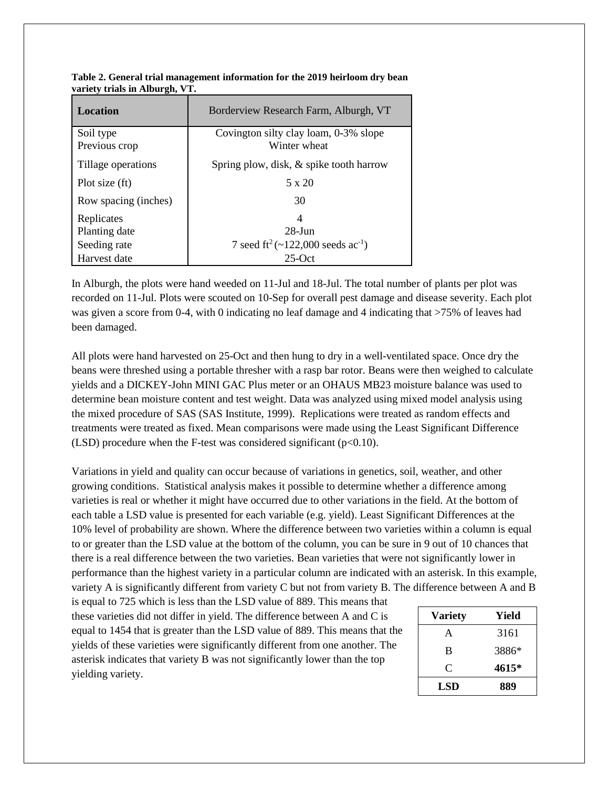| Location             | Borderview Research Farm, Alburgh, VT                     |
|----------------------|-----------------------------------------------------------|
| Soil type            | Covington silty clay loam, 0-3% slope                     |
| Previous crop        | Winter wheat                                              |
| Tillage operations   | Spring plow, disk, & spike tooth harrow                   |
| Plot size (ft)       | 5 x 20                                                    |
| Row spacing (inches) | 30                                                        |
| Replicates           | 4                                                         |
| Planting date        | $28 - \text{Jun}$                                         |
| Seeding rate         | 7 seed ft <sup>2</sup> (~122,000 seeds ac <sup>-1</sup> ) |
| Harvest date         | $25$ -Oct                                                 |

**Table 2. General trial management information for the 2019 heirloom dry bean variety trials in Alburgh, VT.**

In Alburgh, the plots were hand weeded on 11-Jul and 18-Jul. The total number of plants per plot was recorded on 11-Jul. Plots were scouted on 10-Sep for overall pest damage and disease severity. Each plot was given a score from 0-4, with 0 indicating no leaf damage and 4 indicating that >75% of leaves had been damaged.

All plots were hand harvested on 25-Oct and then hung to dry in a well-ventilated space. Once dry the beans were threshed using a portable thresher with a rasp bar rotor. Beans were then weighed to calculate yields and a DICKEY-John MINI GAC Plus meter or an OHAUS MB23 moisture balance was used to determine bean moisture content and test weight. Data was analyzed using mixed model analysis using the mixed procedure of SAS (SAS Institute, 1999). Replications were treated as random effects and treatments were treated as fixed. Mean comparisons were made using the Least Significant Difference (LSD) procedure when the F-test was considered significant  $(p<0.10)$ .

Variations in yield and quality can occur because of variations in genetics, soil, weather, and other growing conditions. Statistical analysis makes it possible to determine whether a difference among varieties is real or whether it might have occurred due to other variations in the field. At the bottom of each table a LSD value is presented for each variable (e.g. yield). Least Significant Differences at the 10% level of probability are shown. Where the difference between two varieties within a column is equal to or greater than the LSD value at the bottom of the column, you can be sure in 9 out of 10 chances that there is a real difference between the two varieties. Bean varieties that were not significantly lower in performance than the highest variety in a particular column are indicated with an asterisk. In this example, variety A is significantly different from variety C but not from variety B. The difference between A and B

is equal to 725 which is less than the LSD value of 889. This means that these varieties did not differ in yield. The difference between A and C is equal to 1454 that is greater than the LSD value of 889. This means that the yields of these varieties were significantly different from one another. The asterisk indicates that variety B was not significantly lower than the top yielding variety.

| <b>Variety</b> | Yield |
|----------------|-------|
| A              | 3161  |
| B              | 3886* |
| C              | 4615* |
| <b>LSD</b>     | 889   |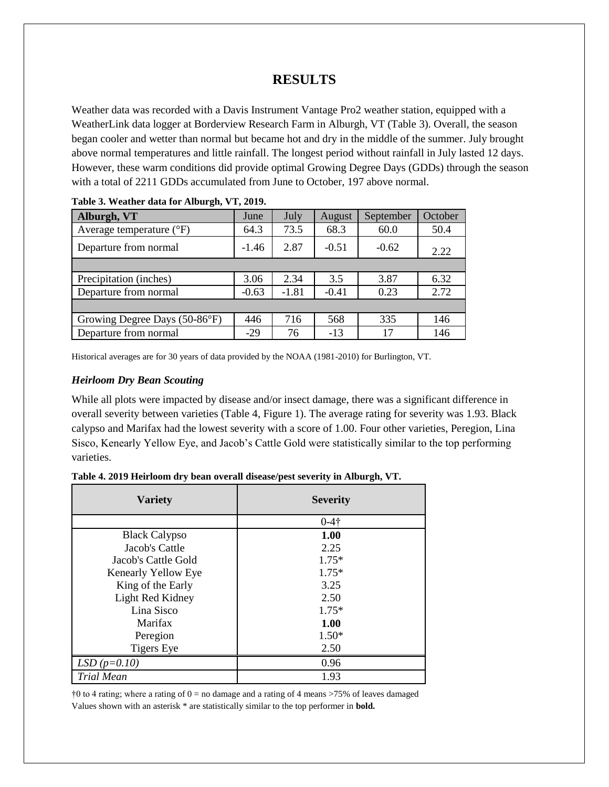## **RESULTS**

Weather data was recorded with a Davis Instrument Vantage Pro2 weather station, equipped with a WeatherLink data logger at Borderview Research Farm in Alburgh, VT (Table 3). Overall, the season began cooler and wetter than normal but became hot and dry in the middle of the summer. July brought above normal temperatures and little rainfall. The longest period without rainfall in July lasted 12 days. However, these warm conditions did provide optimal Growing Degree Days (GDDs) through the season with a total of 2211 GDDs accumulated from June to October, 197 above normal.

| Alburgh, VT                       | June    | July    | August  | September | October |
|-----------------------------------|---------|---------|---------|-----------|---------|
| Average temperature $(^{\circ}F)$ | 64.3    | 73.5    | 68.3    | 60.0      | 50.4    |
| Departure from normal             | $-1.46$ | 2.87    | $-0.51$ | $-0.62$   | 2.22    |
|                                   |         |         |         |           |         |
| Precipitation (inches)            | 3.06    | 2.34    | 3.5     | 3.87      | 6.32    |
| Departure from normal             | $-0.63$ | $-1.81$ | $-0.41$ | 0.23      | 2.72    |
|                                   |         |         |         |           |         |
| Growing Degree Days (50-86°F)     | 446     | 716     | 568     | 335       | 146     |
| Departure from normal             | $-29$   | 76      | $-13$   | 17        | 146     |

|  | Table 3. Weather data for Alburgh, VT, 2019. |  |  |  |  |  |
|--|----------------------------------------------|--|--|--|--|--|
|--|----------------------------------------------|--|--|--|--|--|

Historical averages are for 30 years of data provided by the NOAA (1981-2010) for Burlington, VT.

#### *Heirloom Dry Bean Scouting*

While all plots were impacted by disease and/or insect damage, there was a significant difference in overall severity between varieties (Table 4, Figure 1). The average rating for severity was 1.93. Black calypso and Marifax had the lowest severity with a score of 1.00. Four other varieties, Peregion, Lina Sisco, Kenearly Yellow Eye, and Jacob's Cattle Gold were statistically similar to the top performing varieties.

| Table 4. 2019 Heirloom dry bean overall disease/pest severity in Alburgh, VT. |  |  |  |  |  |  |  |  |
|-------------------------------------------------------------------------------|--|--|--|--|--|--|--|--|
|-------------------------------------------------------------------------------|--|--|--|--|--|--|--|--|

| <b>Variety</b>       | <b>Severity</b> |
|----------------------|-----------------|
|                      | $0 - 4 +$       |
| <b>Black Calypso</b> | 1.00            |
| Jacob's Cattle       | 2.25            |
| Jacob's Cattle Gold  | $1.75*$         |
| Kenearly Yellow Eye  | $1.75*$         |
| King of the Early    | 3.25            |
| Light Red Kidney     | 2.50            |
| Lina Sisco           | $1.75*$         |
| Marifax              | 1.00            |
| Peregion             | $1.50*$         |
| <b>Tigers Eye</b>    | 2.50            |
| $LSD(p=0.10)$        | 0.96            |
| <b>Trial Mean</b>    | 1.93            |

 $\uparrow$ 0 to 4 rating; where a rating of 0 = no damage and a rating of 4 means >75% of leaves damaged Values shown with an asterisk \* are statistically similar to the top performer in **bold.**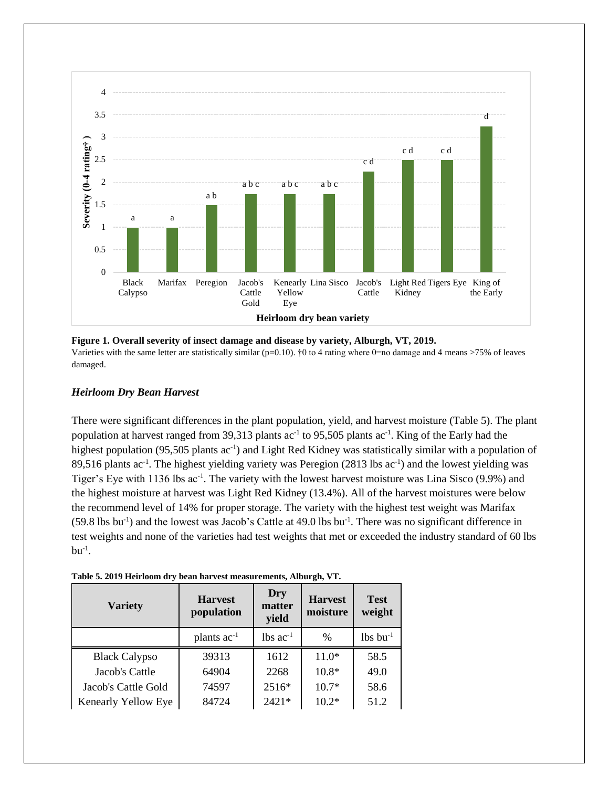

**Figure 1. Overall severity of insect damage and disease by variety, Alburgh, VT, 2019.** Varieties with the same letter are statistically similar ( $p=0.10$ ).  $\uparrow$  0 to 4 rating where 0=no damage and 4 means >75% of leaves damaged.

#### *Heirloom Dry Bean Harvest*

There were significant differences in the plant population, yield, and harvest moisture (Table 5). The plant population at harvest ranged from 39,313 plants  $ac^{-1}$  to 95,505 plants  $ac^{-1}$ . King of the Early had the highest population (95,505 plants ac<sup>-1</sup>) and Light Red Kidney was statistically similar with a population of 89,516 plants  $ac^{-1}$ . The highest yielding variety was Peregion (2813 lbs  $ac^{-1}$ ) and the lowest yielding was Tiger's Eye with 1136 lbs ac<sup>-1</sup>. The variety with the lowest harvest moisture was Lina Sisco (9.9%) and the highest moisture at harvest was Light Red Kidney (13.4%). All of the harvest moistures were below the recommend level of 14% for proper storage. The variety with the highest test weight was Marifax  $(59.8 \text{ lbs} \text{ bu}^{-1})$  and the lowest was Jacob's Cattle at 49.0 lbs bu<sup>-1</sup>. There was no significant difference in test weights and none of the varieties had test weights that met or exceeded the industry standard of 60 lbs  $bu^{-1}$ .

| Table 5. 2019 Heirloom dry bean harvest measurements, Alburgh, VT. |  |
|--------------------------------------------------------------------|--|
|--------------------------------------------------------------------|--|

| <b>Variety</b>       | <b>Harvest</b><br>population | Dry<br>matter<br>yield | <b>Harvest</b><br>moisture | <b>Test</b><br>weight  |
|----------------------|------------------------------|------------------------|----------------------------|------------------------|
|                      | plants $ac^{-1}$             | $lbs$ ac <sup>-1</sup> | $\frac{0}{0}$              | $lbs$ bu <sup>-1</sup> |
| <b>Black Calypso</b> | 39313                        | 1612                   | $11.0*$                    | 58.5                   |
| Jacob's Cattle       | 64904                        | 2268                   | $10.8*$                    | 49.0                   |
| Jacob's Cattle Gold  | 74597                        | 2516*                  | $10.7*$                    | 58.6                   |
| Kenearly Yellow Eye  | 84724                        | $2421*$                | $10.2*$                    | 51.2                   |